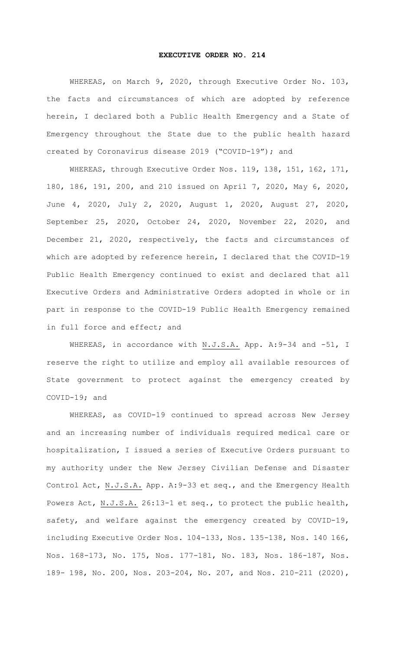## **EXECUTIVE ORDER NO. 214**

WHEREAS, on March 9, 2020, through Executive Order No. 103, the facts and circumstances of which are adopted by reference herein, I declared both a Public Health Emergency and a State of Emergency throughout the State due to the public health hazard created by Coronavirus disease 2019 ("COVID-19"); and

WHEREAS, through Executive Order Nos. 119, 138, 151, 162, 171, 180, 186, 191, 200, and 210 issued on April 7, 2020, May 6, 2020, June 4, 2020, July 2, 2020, August 1, 2020, August 27, 2020, September 25, 2020, October 24, 2020, November 22, 2020, and December 21, 2020, respectively, the facts and circumstances of which are adopted by reference herein, I declared that the COVID-19 Public Health Emergency continued to exist and declared that all Executive Orders and Administrative Orders adopted in whole or in part in response to the COVID-19 Public Health Emergency remained in full force and effect; and

WHEREAS, in accordance with N.J.S.A. App. A:9-34 and -51, I reserve the right to utilize and employ all available resources of State government to protect against the emergency created by COVID-19; and

WHEREAS, as COVID-19 continued to spread across New Jersey and an increasing number of individuals required medical care or hospitalization, I issued a series of Executive Orders pursuant to my authority under the New Jersey Civilian Defense and Disaster Control Act, N.J.S.A. App. A:9-33 et seq., and the Emergency Health Powers Act, N.J.S.A. 26:13-1 et seq., to protect the public health, safety, and welfare against the emergency created by COVID-19, including Executive Order Nos. 104-133, Nos. 135-138, Nos. 140 166, Nos. 168-173, No. 175, Nos. 177-181, No. 183, Nos. 186-187, Nos. 189- 198, No. 200, Nos. 203-204, No. 207, and Nos. 210-211 (2020),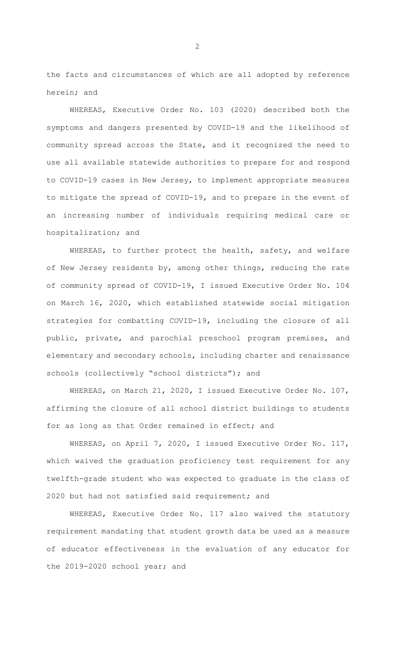the facts and circumstances of which are all adopted by reference herein; and

WHEREAS, Executive Order No. 103 (2020) described both the symptoms and dangers presented by COVID-19 and the likelihood of community spread across the State, and it recognized the need to use all available statewide authorities to prepare for and respond to COVID-19 cases in New Jersey, to implement appropriate measures to mitigate the spread of COVID-19, and to prepare in the event of an increasing number of individuals requiring medical care or hospitalization; and

WHEREAS, to further protect the health, safety, and welfare of New Jersey residents by, among other things, reducing the rate of community spread of COVID-19, I issued Executive Order No. 104 on March 16, 2020, which established statewide social mitigation strategies for combatting COVID-19, including the closure of all public, private, and parochial preschool program premises, and elementary and secondary schools, including charter and renaissance schools (collectively "school districts"); and

WHEREAS, on March 21, 2020, I issued Executive Order No. 107, affirming the closure of all school district buildings to students for as long as that Order remained in effect; and

WHEREAS, on April 7, 2020, I issued Executive Order No. 117, which waived the graduation proficiency test requirement for any twelfth-grade student who was expected to graduate in the class of 2020 but had not satisfied said requirement; and

WHEREAS, Executive Order No. 117 also waived the statutory requirement mandating that student growth data be used as a measure of educator effectiveness in the evaluation of any educator for the 2019-2020 school year; and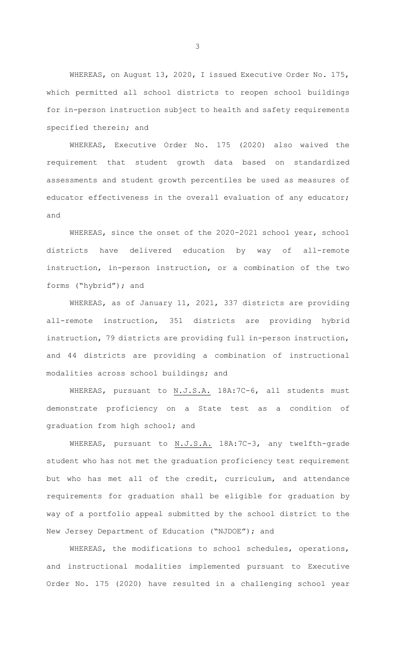WHEREAS, on August 13, 2020, I issued Executive Order No. 175, which permitted all school districts to reopen school buildings for in-person instruction subject to health and safety requirements specified therein; and

WHEREAS, Executive Order No. 175 (2020) also waived the requirement that student growth data based on standardized assessments and student growth percentiles be used as measures of educator effectiveness in the overall evaluation of any educator; and

WHEREAS, since the onset of the 2020-2021 school year, school districts have delivered education by way of all-remote instruction, in-person instruction, or a combination of the two forms ("hybrid"); and

WHEREAS, as of January 11, 2021, 337 districts are providing all-remote instruction, 351 districts are providing hybrid instruction, 79 districts are providing full in-person instruction, and 44 districts are providing a combination of instructional modalities across school buildings; and

WHEREAS, pursuant to N.J.S.A. 18A:7C-6, all students must demonstrate proficiency on a State test as a condition of graduation from high school; and

WHEREAS, pursuant to N.J.S.A. 18A:7C-3, any twelfth-grade student who has not met the graduation proficiency test requirement but who has met all of the credit, curriculum, and attendance requirements for graduation shall be eligible for graduation by way of a portfolio appeal submitted by the school district to the New Jersey Department of Education ("NJDOE"); and

WHEREAS, the modifications to school schedules, operations, and instructional modalities implemented pursuant to Executive Order No. 175 (2020) have resulted in a challenging school year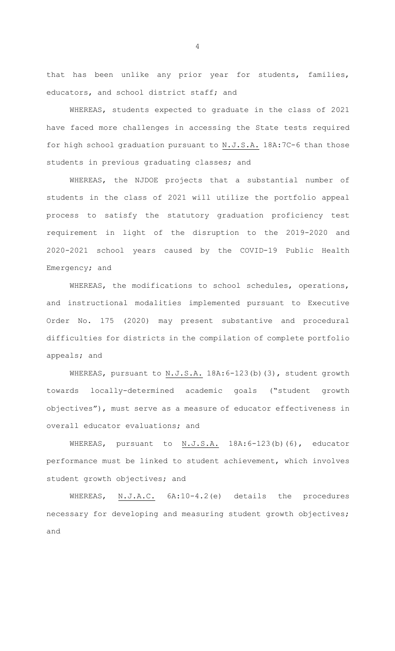that has been unlike any prior year for students, families, educators, and school district staff; and

WHEREAS, students expected to graduate in the class of 2021 have faced more challenges in accessing the State tests required for high school graduation pursuant to N.J.S.A. 18A:7C-6 than those students in previous graduating classes; and

WHEREAS, the NJDOE projects that a substantial number of students in the class of 2021 will utilize the portfolio appeal process to satisfy the statutory graduation proficiency test requirement in light of the disruption to the 2019-2020 and 2020-2021 school years caused by the COVID-19 Public Health Emergency; and

WHEREAS, the modifications to school schedules, operations, and instructional modalities implemented pursuant to Executive Order No. 175 (2020) may present substantive and procedural difficulties for districts in the compilation of complete portfolio appeals; and

WHEREAS, pursuant to N.J.S.A. 18A: 6-123(b)(3), student growth towards locally-determined academic goals ("student growth objectives"), must serve as a measure of educator effectiveness in overall educator evaluations; and

WHEREAS, pursuant to N.J.S.A. 18A:6-123(b)(6), educator performance must be linked to student achievement, which involves student growth objectives; and

WHEREAS, N.J.A.C. 6A:10-4.2(e) details the procedures necessary for developing and measuring student growth objectives; and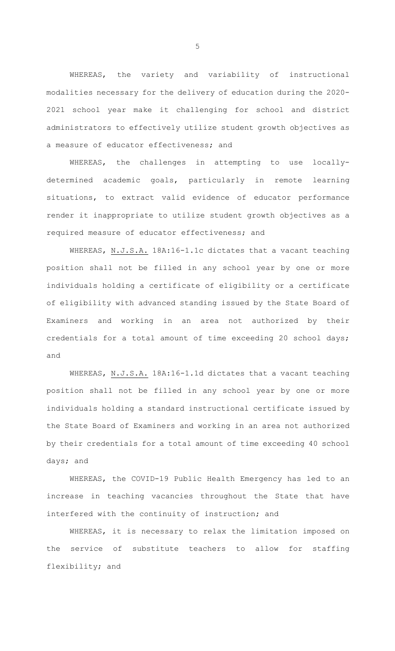WHEREAS, the variety and variability of instructional modalities necessary for the delivery of education during the 2020- 2021 school year make it challenging for school and district administrators to effectively utilize student growth objectives as a measure of educator effectiveness; and

WHEREAS, the challenges in attempting to use locallydetermined academic goals, particularly in remote learning situations, to extract valid evidence of educator performance render it inappropriate to utilize student growth objectives as a required measure of educator effectiveness; and

WHEREAS, N.J.S.A. 18A:16-1.1c dictates that a vacant teaching position shall not be filled in any school year by one or more individuals holding a certificate of eligibility or a certificate of eligibility with advanced standing issued by the State Board of Examiners and working in an area not authorized by their credentials for a total amount of time exceeding 20 school days; and

WHEREAS, N.J.S.A. 18A:16-1.1d dictates that a vacant teaching position shall not be filled in any school year by one or more individuals holding a standard instructional certificate issued by the State Board of Examiners and working in an area not authorized by their credentials for a total amount of time exceeding 40 school days; and

WHEREAS, the COVID-19 Public Health Emergency has led to an increase in teaching vacancies throughout the State that have interfered with the continuity of instruction; and

WHEREAS, it is necessary to relax the limitation imposed on the service of substitute teachers to allow for staffing flexibility; and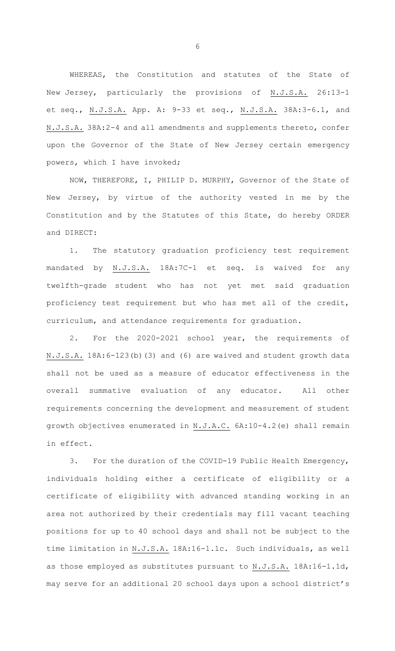WHEREAS, the Constitution and statutes of the State of New Jersey, particularly the provisions of N.J.S.A. 26:13-1 et seq., N.J.S.A. App. A: 9-33 et seq., N.J.S.A. 38A:3-6.1, and N.J.S.A. 38A:2-4 and all amendments and supplements thereto, confer upon the Governor of the State of New Jersey certain emergency powers, which I have invoked;

NOW, THEREFORE, I, PHILIP D. MURPHY, Governor of the State of New Jersey, by virtue of the authority vested in me by the Constitution and by the Statutes of this State, do hereby ORDER and DIRECT:

1. The statutory graduation proficiency test requirement mandated by N.J.S.A. 18A:7C-1 et seq. is waived for any twelfth-grade student who has not yet met said graduation proficiency test requirement but who has met all of the credit, curriculum, and attendance requirements for graduation*.* 

2. For the 2020-2021 school year, the requirements of N.J.S.A. 18A:6-123(b)(3) and (6) are waived and student growth data shall not be used as a measure of educator effectiveness in the overall summative evaluation of any educator. All other requirements concerning the development and measurement of student growth objectives enumerated in N.J.A.C. 6A:10-4.2(e) shall remain in effect.

3. For the duration of the COVID-19 Public Health Emergency, individuals holding either a certificate of eligibility or a certificate of eligibility with advanced standing working in an area not authorized by their credentials may fill vacant teaching positions for up to 40 school days and shall not be subject to the time limitation in N.J.S.A. 18A:16-1.1c. Such individuals, as well as those employed as substitutes pursuant to N.J.S.A. 18A:16-1.1d, may serve for an additional 20 school days upon a school district's